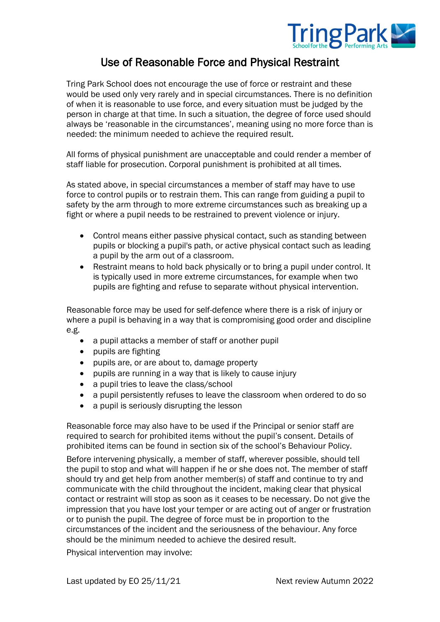

## Use of Reasonable Force and Physical Restraint

Tring Park School does not encourage the use of force or restraint and these would be used only very rarely and in special circumstances. There is no definition of when it is reasonable to use force, and every situation must be judged by the person in charge at that time. In such a situation, the degree of force used should always be 'reasonable in the circumstances', meaning using no more force than is needed: the minimum needed to achieve the required result.

All forms of physical punishment are unacceptable and could render a member of staff liable for prosecution. Corporal punishment is prohibited at all times.

As stated above, in special circumstances a member of staff may have to use force to control pupils or to restrain them. This can range from guiding a pupil to safety by the arm through to more extreme circumstances such as breaking up a fight or where a pupil needs to be restrained to prevent violence or injury.

- Control means either passive physical contact, such as standing between pupils or blocking a pupil's path, or active physical contact such as leading a pupil by the arm out of a classroom.
- Restraint means to hold back physically or to bring a pupil under control. It is typically used in more extreme circumstances, for example when two pupils are fighting and refuse to separate without physical intervention.

Reasonable force may be used for self-defence where there is a risk of injury or where a pupil is behaving in a way that is compromising good order and discipline e.g.

- a pupil attacks a member of staff or another pupil
- pupils are fighting
- pupils are, or are about to, damage property
- pupils are running in a way that is likely to cause injury
- a pupil tries to leave the class/school
- a pupil persistently refuses to leave the classroom when ordered to do so
- a pupil is seriously disrupting the lesson

Reasonable force may also have to be used if the Principal or senior staff are required to search for prohibited items without the pupil's consent. Details of prohibited items can be found in section six of the school's Behaviour Policy.

Before intervening physically, a member of staff, wherever possible, should tell the pupil to stop and what will happen if he or she does not. The member of staff should try and get help from another member(s) of staff and continue to try and communicate with the child throughout the incident, making clear that physical contact or restraint will stop as soon as it ceases to be necessary. Do not give the impression that you have lost your temper or are acting out of anger or frustration or to punish the pupil. The degree of force must be in proportion to the circumstances of the incident and the seriousness of the behaviour. Any force should be the minimum needed to achieve the desired result.

Physical intervention may involve: